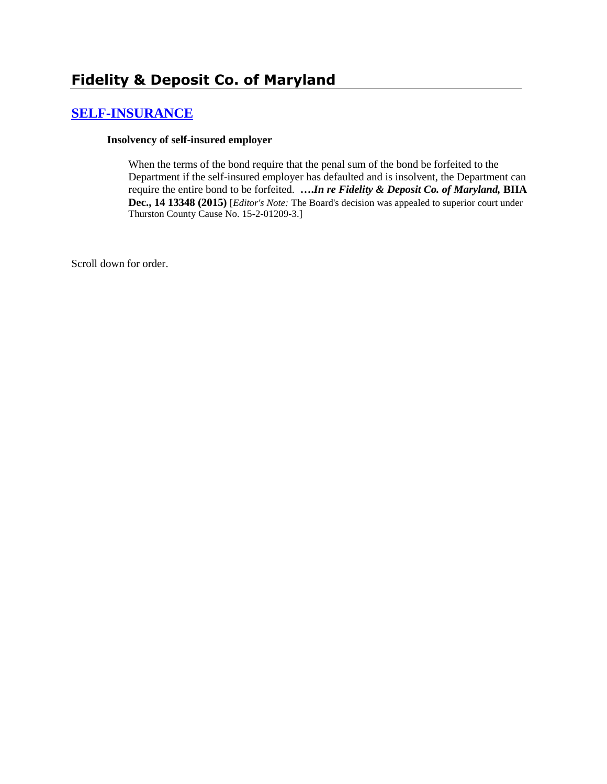# **[SELF-INSURANCE](http://www.biia.wa.gov/SDSubjectIndex.html#SELF_INSURANCE)**

#### **Insolvency of self-insured employer**

When the terms of the bond require that the penal sum of the bond be forfeited to the Department if the self-insured employer has defaulted and is insolvent, the Department can require the entire bond to be forfeited. **….***In re Fidelity & Deposit Co. of Maryland,* **BIIA Dec., 14 13348 (2015)** [*Editor's Note:* The Board's decision was appealed to superior court under Thurston County Cause No. 15-2-01209-3.]

Scroll down for order.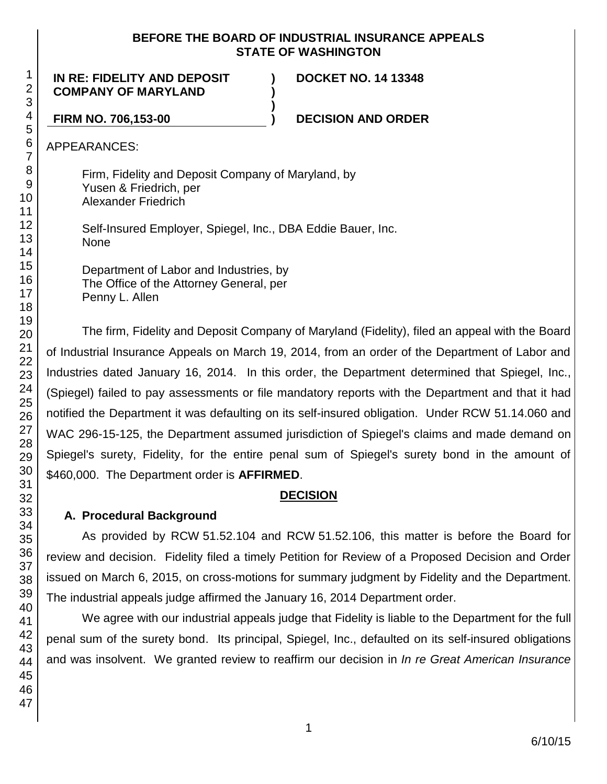#### **BEFORE THE BOARD OF INDUSTRIAL INSURANCE APPEALS STATE OF WASHINGTON**

**) )**

**)**

**IN RE: FIDELITY AND DEPOSIT COMPANY OF MARYLAND**

**DOCKET NO. 14 13348**

**FIRM NO. 706,153-00 ) DECISION AND ORDER**

APPEARANCES:

Firm, Fidelity and Deposit Company of Maryland, by Yusen & Friedrich, per Alexander Friedrich

Self-Insured Employer, Spiegel, Inc., DBA Eddie Bauer, Inc. None

Department of Labor and Industries, by The Office of the Attorney General, per Penny L. Allen

The firm, Fidelity and Deposit Company of Maryland (Fidelity), filed an appeal with the Board of Industrial Insurance Appeals on March 19, 2014, from an order of the Department of Labor and Industries dated January 16, 2014. In this order, the Department determined that Spiegel, Inc., (Spiegel) failed to pay assessments or file mandatory reports with the Department and that it had notified the Department it was defaulting on its self-insured obligation. Under RCW 51.14.060 and WAC 296-15-125, the Department assumed jurisdiction of Spiegel's claims and made demand on Spiegel's surety, Fidelity, for the entire penal sum of Spiegel's surety bond in the amount of \$460,000. The Department order is **AFFIRMED**.

#### **DECISION**

#### **A. Procedural Background**

As provided by RCW 51.52.104 and RCW 51.52.106, this matter is before the Board for review and decision. Fidelity filed a timely Petition for Review of a Proposed Decision and Order issued on March 6, 2015, on cross-motions for summary judgment by Fidelity and the Department. The industrial appeals judge affirmed the January 16, 2014 Department order.

We agree with our industrial appeals judge that Fidelity is liable to the Department for the full penal sum of the surety bond. Its principal, Spiegel, Inc., defaulted on its self-insured obligations and was insolvent. We granted review to reaffirm our decision in *In re Great American Insurance*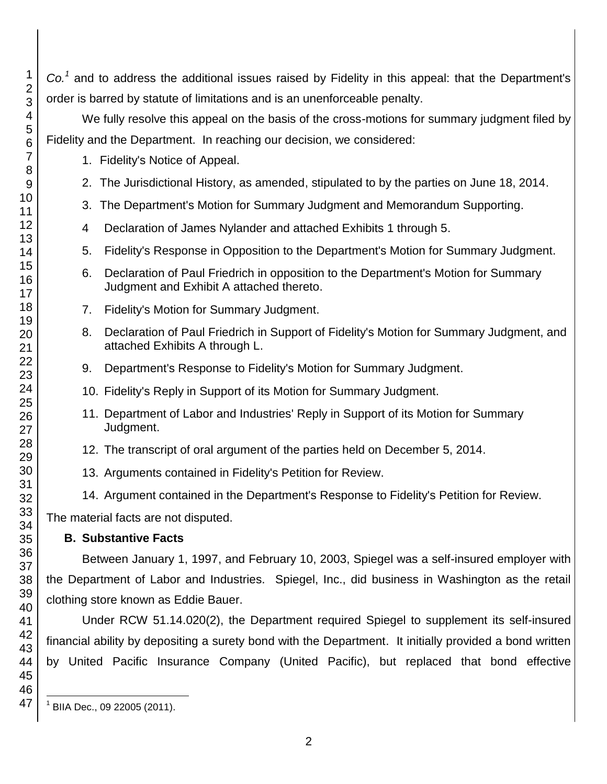*Co.<sup>1</sup>* and to address the additional issues raised by Fidelity in this appeal: that the Department's order is barred by statute of limitations and is an unenforceable penalty.

We fully resolve this appeal on the basis of the cross-motions for summary judgment filed by Fidelity and the Department. In reaching our decision, we considered:

- 1. Fidelity's Notice of Appeal.
- 2. The Jurisdictional History, as amended, stipulated to by the parties on June 18, 2014.
- 3. The Department's Motion for Summary Judgment and Memorandum Supporting.
- Declaration of James Nylander and attached Exhibits 1 through 5.
- 5. Fidelity's Response in Opposition to the Department's Motion for Summary Judgment.
- 6. Declaration of Paul Friedrich in opposition to the Department's Motion for Summary Judgment and Exhibit A attached thereto.
- 7. Fidelity's Motion for Summary Judgment.
- 8. Declaration of Paul Friedrich in Support of Fidelity's Motion for Summary Judgment, and attached Exhibits A through L.
- 9. Department's Response to Fidelity's Motion for Summary Judgment.
- 10. Fidelity's Reply in Support of its Motion for Summary Judgment.
- 11. Department of Labor and Industries' Reply in Support of its Motion for Summary Judgment.
- 12. The transcript of oral argument of the parties held on December 5, 2014.
- 13. Arguments contained in Fidelity's Petition for Review.
- 14. Argument contained in the Department's Response to Fidelity's Petition for Review.

The material facts are not disputed.

# **B. Substantive Facts**

Between January 1, 1997, and February 10, 2003, Spiegel was a self-insured employer with the Department of Labor and Industries. Spiegel, Inc., did business in Washington as the retail clothing store known as Eddie Bauer.

Under RCW 51.14.020(2), the Department required Spiegel to supplement its self-insured financial ability by depositing a surety bond with the Department. It initially provided a bond written by United Pacific Insurance Company (United Pacific), but replaced that bond effective

l BIIA Dec., 09 22005 (2011).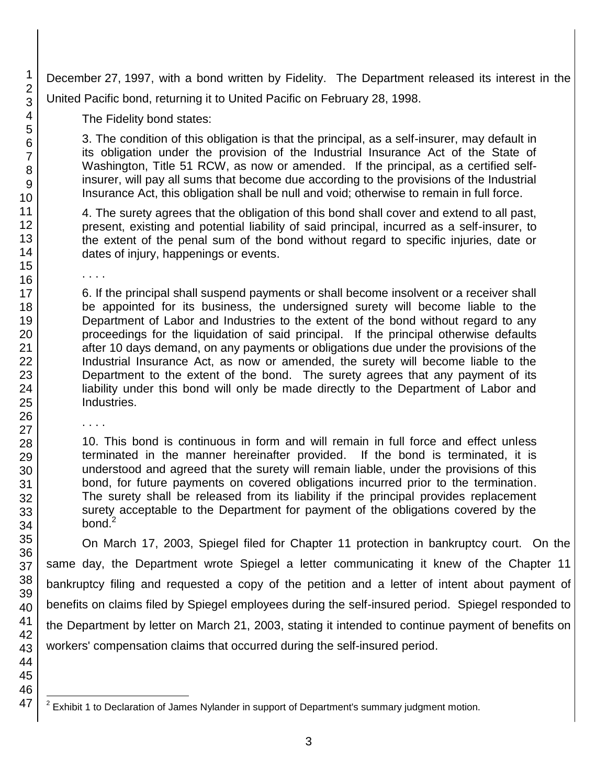December 27, 1997, with a bond written by Fidelity. The Department released its interest in the United Pacific bond, returning it to United Pacific on February 28, 1998.

The Fidelity bond states:

3. The condition of this obligation is that the principal, as a self-insurer, may default in its obligation under the provision of the Industrial Insurance Act of the State of Washington, Title 51 RCW, as now or amended. If the principal, as a certified selfinsurer, will pay all sums that become due according to the provisions of the Industrial Insurance Act, this obligation shall be null and void; otherwise to remain in full force.

4. The surety agrees that the obligation of this bond shall cover and extend to all past, present, existing and potential liability of said principal, incurred as a self-insurer, to the extent of the penal sum of the bond without regard to specific injuries, date or dates of injury, happenings or events.

6. If the principal shall suspend payments or shall become insolvent or a receiver shall be appointed for its business, the undersigned surety will become liable to the Department of Labor and Industries to the extent of the bond without regard to any proceedings for the liquidation of said principal. If the principal otherwise defaults after 10 days demand, on any payments or obligations due under the provisions of the Industrial Insurance Act, as now or amended, the surety will become liable to the Department to the extent of the bond. The surety agrees that any payment of its liability under this bond will only be made directly to the Department of Labor and Industries.

. . . .

. . . .

10. This bond is continuous in form and will remain in full force and effect unless terminated in the manner hereinafter provided. If the bond is terminated, it is understood and agreed that the surety will remain liable, under the provisions of this bond, for future payments on covered obligations incurred prior to the termination. The surety shall be released from its liability if the principal provides replacement surety acceptable to the Department for payment of the obligations covered by the bond. $2$ 

On March 17, 2003, Spiegel filed for Chapter 11 protection in bankruptcy court. On the same day, the Department wrote Spiegel a letter communicating it knew of the Chapter 11 bankruptcy filing and requested a copy of the petition and a letter of intent about payment of benefits on claims filed by Spiegel employees during the self-insured period. Spiegel responded to the Department by letter on March 21, 2003, stating it intended to continue payment of benefits on workers' compensation claims that occurred during the self-insured period.

46 47

 2 Exhibit 1 to Declaration of James Nylander in support of Department's summary judgment motion.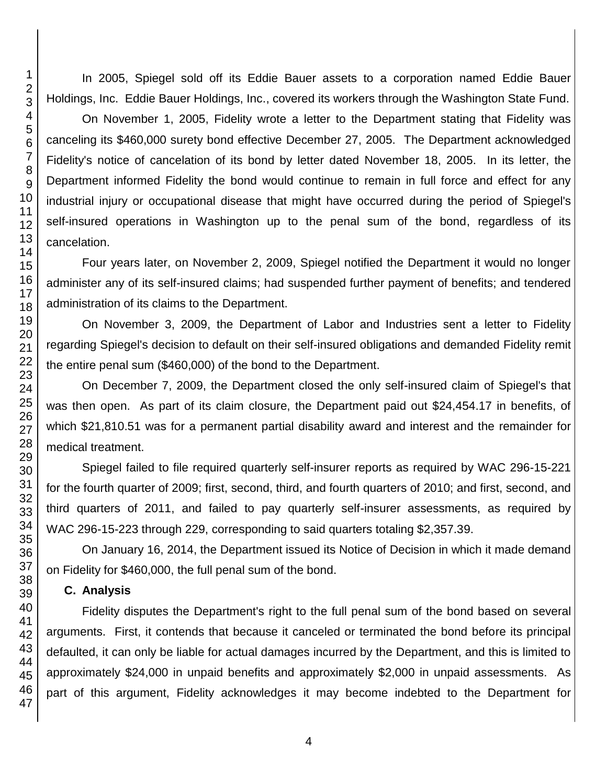In 2005, Spiegel sold off its Eddie Bauer assets to a corporation named Eddie Bauer Holdings, Inc. Eddie Bauer Holdings, Inc., covered its workers through the Washington State Fund.

On November 1, 2005, Fidelity wrote a letter to the Department stating that Fidelity was canceling its \$460,000 surety bond effective December 27, 2005. The Department acknowledged Fidelity's notice of cancelation of its bond by letter dated November 18, 2005. In its letter, the Department informed Fidelity the bond would continue to remain in full force and effect for any industrial injury or occupational disease that might have occurred during the period of Spiegel's self-insured operations in Washington up to the penal sum of the bond, regardless of its cancelation.

Four years later, on November 2, 2009, Spiegel notified the Department it would no longer administer any of its self-insured claims; had suspended further payment of benefits; and tendered administration of its claims to the Department.

On November 3, 2009, the Department of Labor and Industries sent a letter to Fidelity regarding Spiegel's decision to default on their self-insured obligations and demanded Fidelity remit the entire penal sum (\$460,000) of the bond to the Department.

On December 7, 2009, the Department closed the only self-insured claim of Spiegel's that was then open. As part of its claim closure, the Department paid out \$24,454.17 in benefits, of which \$21,810.51 was for a permanent partial disability award and interest and the remainder for medical treatment.

Spiegel failed to file required quarterly self-insurer reports as required by WAC 296-15-221 for the fourth quarter of 2009; first, second, third, and fourth quarters of 2010; and first, second, and third quarters of 2011, and failed to pay quarterly self-insurer assessments, as required by WAC 296-15-223 through 229, corresponding to said quarters totaling \$2,357.39.

On January 16, 2014, the Department issued its Notice of Decision in which it made demand on Fidelity for \$460,000, the full penal sum of the bond.

#### **C. Analysis**

Fidelity disputes the Department's right to the full penal sum of the bond based on several arguments. First, it contends that because it canceled or terminated the bond before its principal defaulted, it can only be liable for actual damages incurred by the Department, and this is limited to approximately \$24,000 in unpaid benefits and approximately \$2,000 in unpaid assessments. As part of this argument, Fidelity acknowledges it may become indebted to the Department for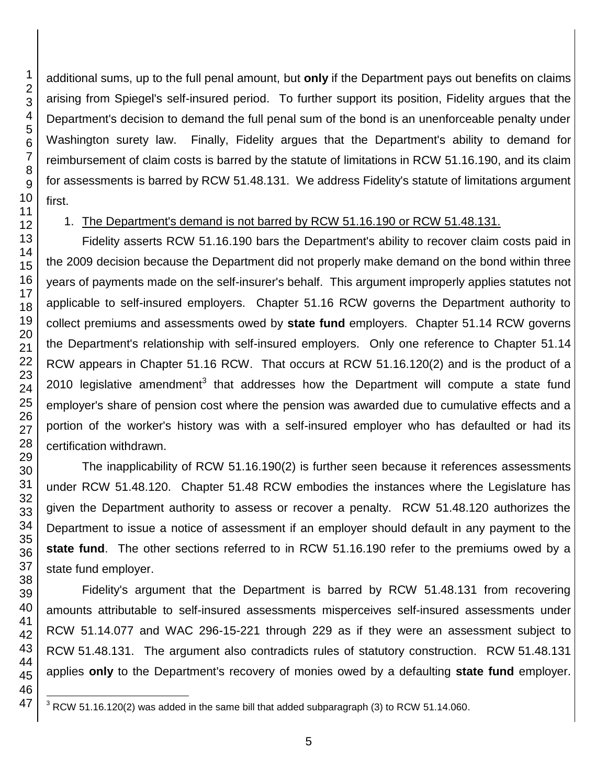additional sums, up to the full penal amount, but **only** if the Department pays out benefits on claims arising from Spiegel's self-insured period. To further support its position, Fidelity argues that the Department's decision to demand the full penal sum of the bond is an unenforceable penalty under Washington surety law. Finally, Fidelity argues that the Department's ability to demand for reimbursement of claim costs is barred by the statute of limitations in RCW 51.16.190, and its claim for assessments is barred by RCW 51.48.131. We address Fidelity's statute of limitations argument

### 1. The Department's demand is not barred by RCW 51.16.190 or RCW 51.48.131.

Fidelity asserts RCW 51.16.190 bars the Department's ability to recover claim costs paid in the 2009 decision because the Department did not properly make demand on the bond within three years of payments made on the self-insurer's behalf. This argument improperly applies statutes not applicable to self-insured employers. Chapter 51.16 RCW governs the Department authority to collect premiums and assessments owed by **state fund** employers. Chapter 51.14 RCW governs the Department's relationship with self-insured employers. Only one reference to Chapter 51.14 RCW appears in Chapter 51.16 RCW. That occurs at RCW 51.16.120(2) and is the product of a 2010 legislative amendment<sup>3</sup> that addresses how the Department will compute a state fund employer's share of pension cost where the pension was awarded due to cumulative effects and a portion of the worker's history was with a self-insured employer who has defaulted or had its certification withdrawn.

The inapplicability of RCW 51.16.190(2) is further seen because it references assessments under RCW 51.48.120. Chapter 51.48 RCW embodies the instances where the Legislature has given the Department authority to assess or recover a penalty. RCW 51.48.120 authorizes the Department to issue a notice of assessment if an employer should default in any payment to the **state fund**. The other sections referred to in RCW 51.16.190 refer to the premiums owed by a state fund employer.

Fidelity's argument that the Department is barred by RCW 51.48.131 from recovering amounts attributable to self-insured assessments misperceives self-insured assessments under RCW 51.14.077 and WAC 296-15-221 through 229 as if they were an assessment subject to RCW 51.48.131. The argument also contradicts rules of statutory construction. RCW 51.48.131 applies **only** to the Department's recovery of monies owed by a defaulting **state fund** employer.

l RCW 51.16.120(2) was added in the same bill that added subparagraph (3) to RCW 51.14.060.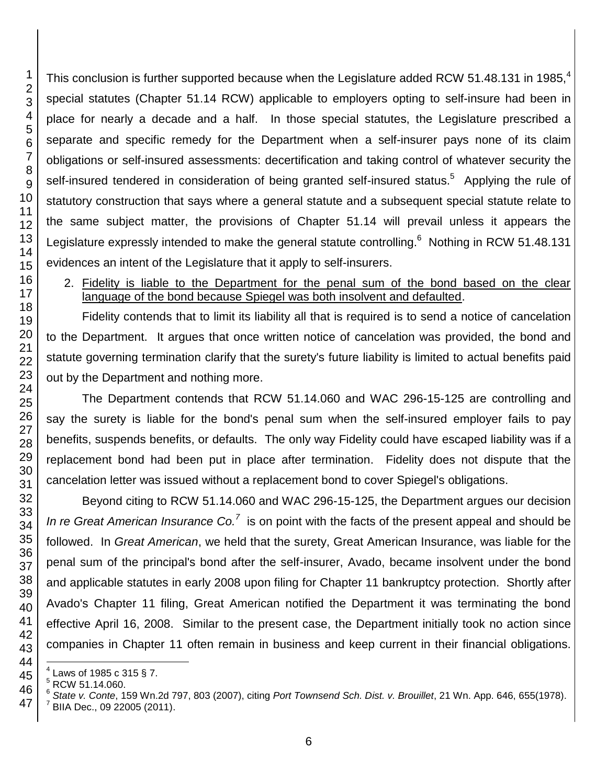This conclusion is further supported because when the Legislature added RCW 51.48.131 in 1985.<sup>4</sup> special statutes (Chapter 51.14 RCW) applicable to employers opting to self-insure had been in place for nearly a decade and a half. In those special statutes, the Legislature prescribed a separate and specific remedy for the Department when a self-insurer pays none of its claim obligations or self-insured assessments: decertification and taking control of whatever security the self-insured tendered in consideration of being granted self-insured status.<sup>5</sup> Applying the rule of statutory construction that says where a general statute and a subsequent special statute relate to the same subject matter, the provisions of Chapter 51.14 will prevail unless it appears the Legislature expressly intended to make the general statute controlling.<sup>6</sup> Nothing in RCW 51.48.131 evidences an intent of the Legislature that it apply to self-insurers.

2. Fidelity is liable to the Department for the penal sum of the bond based on the clear language of the bond because Spiegel was both insolvent and defaulted.

Fidelity contends that to limit its liability all that is required is to send a notice of cancelation to the Department. It argues that once written notice of cancelation was provided, the bond and statute governing termination clarify that the surety's future liability is limited to actual benefits paid out by the Department and nothing more.

The Department contends that RCW 51.14.060 and WAC 296-15-125 are controlling and say the surety is liable for the bond's penal sum when the self-insured employer fails to pay benefits, suspends benefits, or defaults. The only way Fidelity could have escaped liability was if a replacement bond had been put in place after termination. Fidelity does not dispute that the cancelation letter was issued without a replacement bond to cover Spiegel's obligations.

Beyond citing to RCW 51.14.060 and WAC 296-15-125, the Department argues our decision *In re Great American Insurance Co.<sup>7</sup>* is on point with the facts of the present appeal and should be followed. In *Great American*, we held that the surety, Great American Insurance, was liable for the penal sum of the principal's bond after the self-insurer, Avado, became insolvent under the bond and applicable statutes in early 2008 upon filing for Chapter 11 bankruptcy protection. Shortly after Avado's Chapter 11 filing, Great American notified the Department it was terminating the bond effective April 16, 2008. Similar to the present case, the Department initially took no action since companies in Chapter 11 often remain in business and keep current in their financial obligations.

 BIIA Dec., 09 22005 (2011).

l  $^{4}$  Laws of 1985 c 315 § 7.

RCW 51.14.060.

 *State v. Conte*, 159 Wn.2d 797, 803 (2007), citing *Port Townsend Sch. Dist. v. Brouillet*, 21 Wn. App. 646, 655(1978).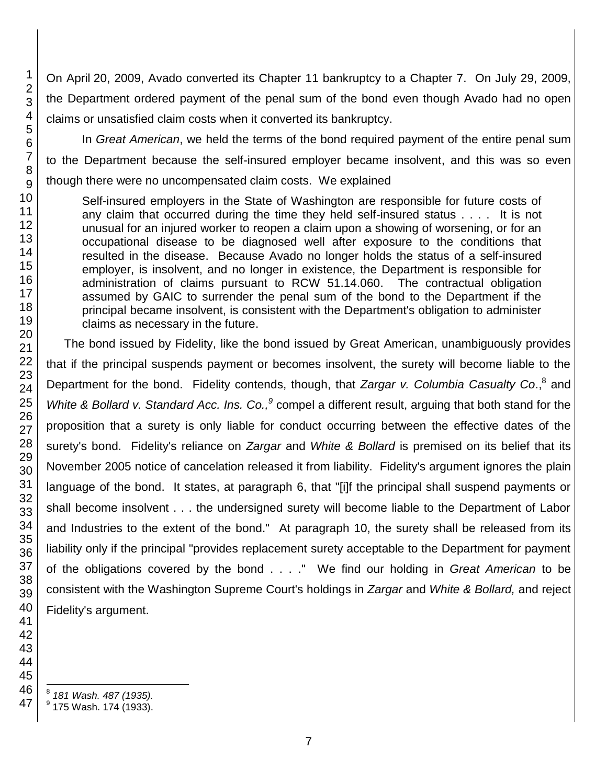On April 20, 2009, Avado converted its Chapter 11 bankruptcy to a Chapter 7. On July 29, 2009, the Department ordered payment of the penal sum of the bond even though Avado had no open claims or unsatisfied claim costs when it converted its bankruptcy.

In *Great American*, we held the terms of the bond required payment of the entire penal sum to the Department because the self-insured employer became insolvent, and this was so even though there were no uncompensated claim costs. We explained

Self-insured employers in the State of Washington are responsible for future costs of any claim that occurred during the time they held self-insured status . . . . It is not unusual for an injured worker to reopen a claim upon a showing of worsening, or for an occupational disease to be diagnosed well after exposure to the conditions that resulted in the disease. Because Avado no longer holds the status of a self-insured employer, is insolvent, and no longer in existence, the Department is responsible for administration of claims pursuant to RCW 51.14.060. The contractual obligation assumed by GAIC to surrender the penal sum of the bond to the Department if the principal became insolvent, is consistent with the Department's obligation to administer claims as necessary in the future.

The bond issued by Fidelity, like the bond issued by Great American, unambiguously provides that if the principal suspends payment or becomes insolvent, the surety will become liable to the Department for the bond. Fidelity contends, though, that *Zargar v. Columbia Casualty Co.*,<sup>8</sup> and White & Bollard v. Standard Acc. Ins. Co.,<sup>9</sup> compel a different result, arguing that both stand for the proposition that a surety is only liable for conduct occurring between the effective dates of the surety's bond. Fidelity's reliance on *Zargar* and *White & Bollard* is premised on its belief that its November 2005 notice of cancelation released it from liability. Fidelity's argument ignores the plain language of the bond. It states, at paragraph 6, that "[i]f the principal shall suspend payments or shall become insolvent . . . the undersigned surety will become liable to the Department of Labor and Industries to the extent of the bond." At paragraph 10, the surety shall be released from its liability only if the principal "provides replacement surety acceptable to the Department for payment of the obligations covered by the bond . . . ." We find our holding in *Great American* to be consistent with the Washington Supreme Court's holdings in *Zargar* and *White & Bollard,* and reject Fidelity's argument.

l *181 Wash. 487 (1935).*

 $^9$  175 Wash. 174 (1933).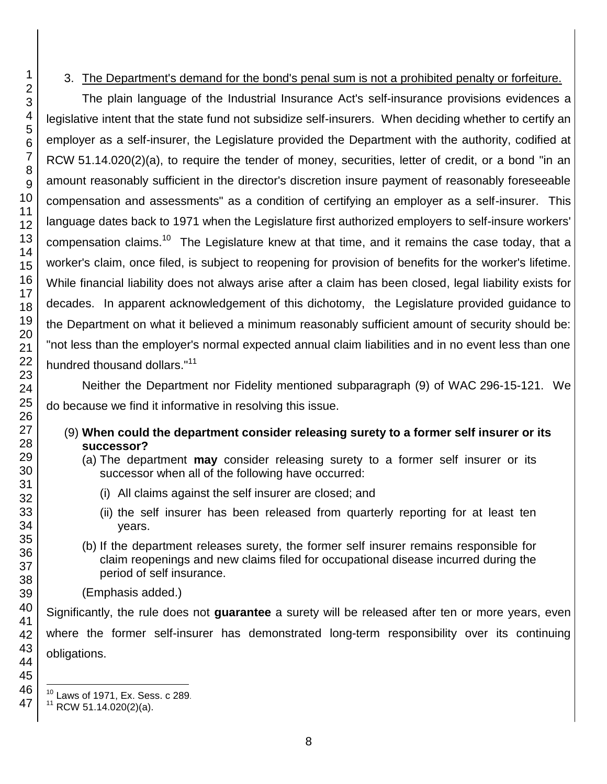#### 3. The Department's demand for the bond's penal sum is not a prohibited penalty or forfeiture.

The plain language of the Industrial Insurance Act's self-insurance provisions evidences a legislative intent that the state fund not subsidize self-insurers. When deciding whether to certify an employer as a self-insurer, the Legislature provided the Department with the authority, codified at RCW 51.14.020(2)(a), to require the tender of money, securities, letter of credit, or a bond "in an amount reasonably sufficient in the director's discretion insure payment of reasonably foreseeable compensation and assessments" as a condition of certifying an employer as a self-insurer. This language dates back to 1971 when the Legislature first authorized employers to self-insure workers' compensation claims.<sup>10</sup> The Legislature knew at that time, and it remains the case today, that a worker's claim, once filed, is subject to reopening for provision of benefits for the worker's lifetime. While financial liability does not always arise after a claim has been closed, legal liability exists for decades. In apparent acknowledgement of this dichotomy, the Legislature provided guidance to the Department on what it believed a minimum reasonably sufficient amount of security should be: "not less than the employer's normal expected annual claim liabilities and in no event less than one hundred thousand dollars."<sup>11</sup>

Neither the Department nor Fidelity mentioned subparagraph (9) of WAC 296-15-121. We do because we find it informative in resolving this issue.

- (9) **When could the department consider releasing surety to a former self insurer or its successor?**
	- (a) The department **may** consider releasing surety to a former self insurer or its successor when all of the following have occurred:
		- (i) All claims against the self insurer are closed; and
		- (ii) the self insurer has been released from quarterly reporting for at least ten years.
	- (b) If the department releases surety, the former self insurer remains responsible for claim reopenings and new claims filed for occupational disease incurred during the period of self insurance.
	- (Emphasis added.)

Significantly, the rule does not **guarantee** a surety will be released after ten or more years, even where the former self-insurer has demonstrated long-term responsibility over its continuing obligations.

l

Laws of 1971, Ex. Sess. c 289.

RCW 51.14.020(2)(a).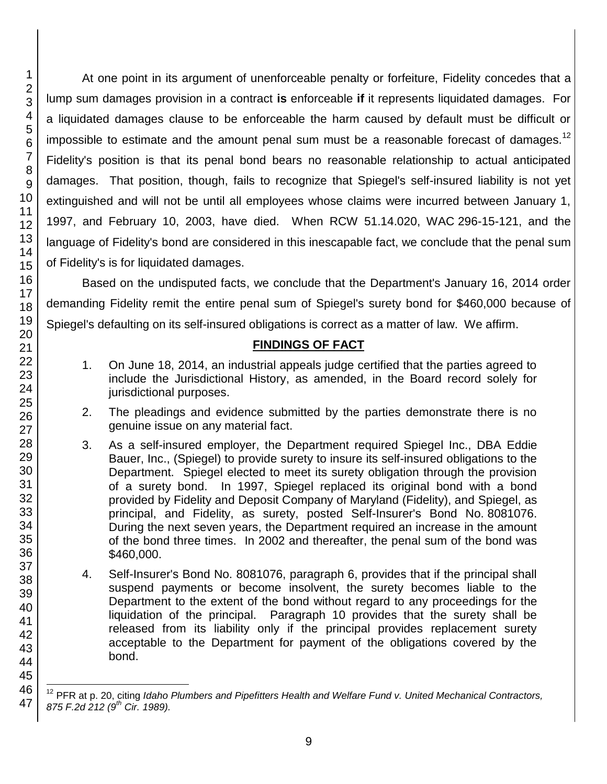At one point in its argument of unenforceable penalty or forfeiture, Fidelity concedes that a lump sum damages provision in a contract **is** enforceable **if** it represents liquidated damages. For a liquidated damages clause to be enforceable the harm caused by default must be difficult or impossible to estimate and the amount penal sum must be a reasonable forecast of damages.<sup>12</sup> Fidelity's position is that its penal bond bears no reasonable relationship to actual anticipated damages. That position, though, fails to recognize that Spiegel's self-insured liability is not yet extinguished and will not be until all employees whose claims were incurred between January 1, 1997, and February 10, 2003, have died. When RCW 51.14.020, WAC 296-15-121, and the language of Fidelity's bond are considered in this inescapable fact, we conclude that the penal sum of Fidelity's is for liquidated damages.

Based on the undisputed facts, we conclude that the Department's January 16, 2014 order demanding Fidelity remit the entire penal sum of Spiegel's surety bond for \$460,000 because of Spiegel's defaulting on its self-insured obligations is correct as a matter of law. We affirm.

## **FINDINGS OF FACT**

- 1. On June 18, 2014, an industrial appeals judge certified that the parties agreed to include the Jurisdictional History, as amended, in the Board record solely for jurisdictional purposes.
- 2. The pleadings and evidence submitted by the parties demonstrate there is no genuine issue on any material fact.
- 3. As a self-insured employer, the Department required Spiegel Inc., DBA Eddie Bauer, Inc., (Spiegel) to provide surety to insure its self-insured obligations to the Department. Spiegel elected to meet its surety obligation through the provision of a surety bond. In 1997, Spiegel replaced its original bond with a bond provided by Fidelity and Deposit Company of Maryland (Fidelity), and Spiegel, as principal, and Fidelity, as surety, posted Self-Insurer's Bond No. 8081076. During the next seven years, the Department required an increase in the amount of the bond three times. In 2002 and thereafter, the penal sum of the bond was \$460,000.
- 4. Self-Insurer's Bond No. 8081076, paragraph 6, provides that if the principal shall suspend payments or become insolvent, the surety becomes liable to the Department to the extent of the bond without regard to any proceedings for the liquidation of the principal. Paragraph 10 provides that the surety shall be released from its liability only if the principal provides replacement surety acceptable to the Department for payment of the obligations covered by the bond.

<sup>&</sup>lt;sup>12</sup> PFR at p. 20, citing *Idaho Plumbers and Pipefitters Health and Welfare Fund v. United Mechanical Contractors, 875 F.2d 212 (9th Cir. 1989).*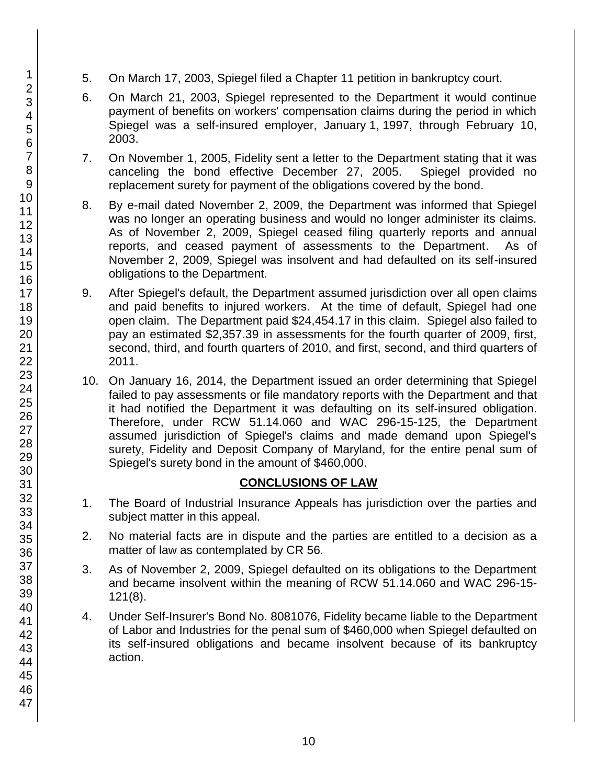- 5. On March 17, 2003, Spiegel filed a Chapter 11 petition in bankruptcy court.
- 6. On March 21, 2003, Spiegel represented to the Department it would continue payment of benefits on workers' compensation claims during the period in which Spiegel was a self-insured employer, January 1, 1997, through February 10, 2003.
- 7. On November 1, 2005, Fidelity sent a letter to the Department stating that it was canceling the bond effective December 27, 2005. Spiegel provided no replacement surety for payment of the obligations covered by the bond.
- 8. By e-mail dated November 2, 2009, the Department was informed that Spiegel was no longer an operating business and would no longer administer its claims. As of November 2, 2009, Spiegel ceased filing quarterly reports and annual reports, and ceased payment of assessments to the Department. As of November 2, 2009, Spiegel was insolvent and had defaulted on its self-insured obligations to the Department.
- 9. After Spiegel's default, the Department assumed jurisdiction over all open claims and paid benefits to injured workers. At the time of default, Spiegel had one open claim. The Department paid \$24,454.17 in this claim. Spiegel also failed to pay an estimated \$2,357.39 in assessments for the fourth quarter of 2009, first, second, third, and fourth quarters of 2010, and first, second, and third quarters of 2011.
- 10. On January 16, 2014, the Department issued an order determining that Spiegel failed to pay assessments or file mandatory reports with the Department and that it had notified the Department it was defaulting on its self-insured obligation. Therefore, under RCW 51.14.060 and WAC 296-15-125, the Department assumed jurisdiction of Spiegel's claims and made demand upon Spiegel's surety, Fidelity and Deposit Company of Maryland, for the entire penal sum of Spiegel's surety bond in the amount of \$460,000.

#### **CONCLUSIONS OF LAW**

- 1. The Board of Industrial Insurance Appeals has jurisdiction over the parties and subject matter in this appeal.
- 2. No material facts are in dispute and the parties are entitled to a decision as a matter of law as contemplated by CR 56.
- 3. As of November 2, 2009, Spiegel defaulted on its obligations to the Department and became insolvent within the meaning of RCW 51.14.060 and WAC 296-15- 121(8).
- 4. Under Self-Insurer's Bond No. 8081076, Fidelity became liable to the Department of Labor and Industries for the penal sum of \$460,000 when Spiegel defaulted on its self-insured obligations and became insolvent because of its bankruptcy action.